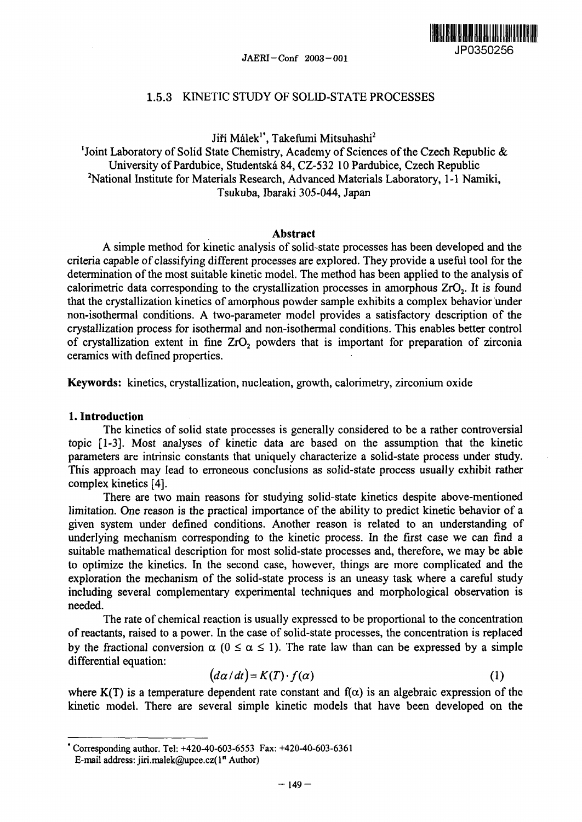

# 1.5.3 KINETIC STUDY OF SOLID-STATE PROCESSES

Jiří Málek<sup>1</sup>\*, Takefumi Mitsuhashi<sup>2</sup>

<sup>1</sup>Joint Laboratory of Solid State Chemistry, Academy of Sciences of the Czech Republic  $\&$ University of Pardubice, Studentskd 84, CZ-532 10 Pardubice, Czech Republic <sup>2</sup>National Institute for Materials Research, Advanced Materials Laboratory, 1-1 Namiki, Tsukuba, lbaraki 305-044, Japan

#### **Abstract**

A simple method for kinetic analysis of solid-state processes has been developed and the criteria capable of classifying different processes are explored. They provide a useftil tool for the determination of the most suitable kinetic model. The method has been applied to the analysis of calorimetric data corresponding to the crystallization processes in amorphous  $ZrO<sub>2</sub>$ . It is found that the crystallization kinetics of amorphous powder sample exhibits a complex behavior'under non-isothermal conditions. A two-parameter model provides a satisfactory description of the crystallization process for isothermal and non-isothennal conditions. This enables better control of crystallization extent in fine ZrO<sub>2</sub> powders that is important for preparation of zirconia ceramics with defined properties.

**Keywords:** kinetics, crystallization, nucleation, growth, calorimetry, zirconium oxide

#### 1. **Introduction**

The kinetics of solid state processes is generally considered to be a rather controversial topic 13]. Most analyses of kinetic data are based on the assumption that the kinetic parameters are intrinsic constants that uniquely characterize a solid-state process under study. This approach may lead to erroneous conclusions as solid-state process usually exhibit rather complex kinetics [4].

There are two main reasons for studying solid-state kinetics despite above-mentioned limitation. One reason is the practical importance of the ability to predict kinetic behavior of a given system under defined conditions. Another reason is related to an understanding of underlying mechanism corresponding to the kinetic process. In the first case we can find a suitable mathematical description for most solid-state processes and, therefore, we may be able to optimize the kinetics. In the second case, however, things are more complicated and the exploration the mechanism of the solid-state process is an uneasy task where a careful study including several complementary experimental techniques and morphological observation is needed.

The rate of chemical reaction is usually expressed to be proportional to the concentration of reactants, raised to a power. In the case of solid-state processes, the concentration is replaced by the fractional conversion  $\alpha$  ( $0 \le \alpha \le 1$ ). The rate law than can be expressed by a simple differential equation:

$$
(d\alpha/dt) = K(T) \cdot f(\alpha) \tag{1}
$$

where K(T) is a temperature dependent rate constant and  $f(x)$  is an algebraic expression of the kinetic model. There are several simple kinetic models that have been developed on the

<sup>&#</sup>x27;Corresponding author. Tel: 42040-603-6553 Fax: 420-40-603-6361

E-mail address: jiri.malek@upce.cz( $1<sup>st</sup>$  Author)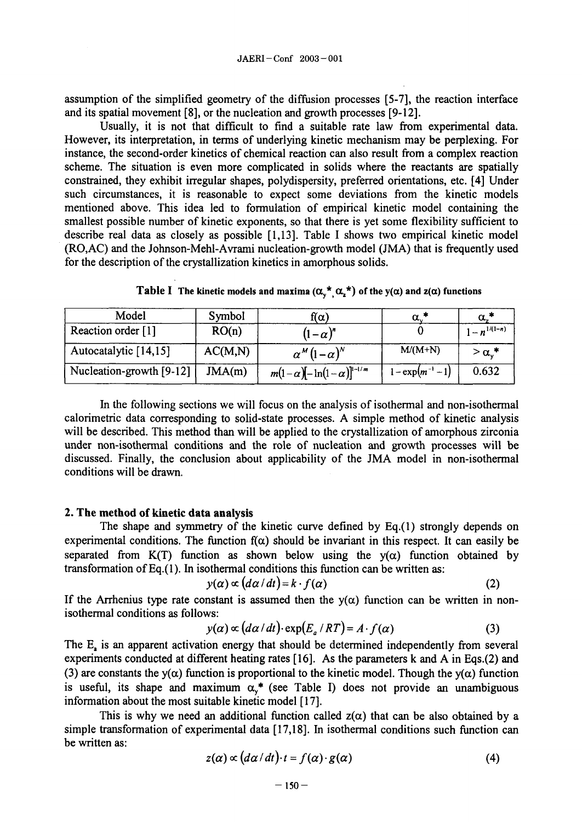assumption of the simplified geometry of the diffusion processes [5-7], the reaction interface and its spatial movement  $[8]$ , or the nucleation and growth processes  $[9-12]$ .

Usually, it is not that difficult to find a suitable rate law from experimental data. However, its interpretation, in terms of underlying kinetic mechanism may be perplexing. For instance, the second-order kinetics of chemical reaction can also result from a complex reaction scheme. The situation is even more complicated in solids where the reactants are spatially constrained, they exhibit irregular shapes, polydispersity, preferred orientations, etc. 4] Under such circumstances, it is reasonable to expect some deviations from the kinetic models mentioned above. This idea led to formulation of empirical kinetic model containing the smallest possible number of kinetic exponents, so that there is yet some flexibility sufficient to describe real data as closely as possible [1,13]. Table I shows two empirical kinetic model (ROAC) and the Johnson-Mehl-Avrami nucleation-growth model (JMA) that is frequently used for the description of the crystallization kinetics in amorphous solids.

| Model                    | Symbol  | f( $\alpha$ )                         | $\alpha^*$             | $\alpha^*$             |
|--------------------------|---------|---------------------------------------|------------------------|------------------------|
| Reaction order [1]       | RO(n)   | $(1-\alpha)^n$                        |                        | $1 - n^{1/(1-n)}$      |
| Autocatalytic [14,15]    | AC(M,N) | $\alpha^M(1-\alpha)^N$                | $M/(M+N)$              | $>\alpha$ <sup>*</sup> |
| Nucleation-growth [9-12] | JMA(m)  | $m(1-\alpha) - \ln(1-\alpha)^{1-1/m}$ | $1 - \exp(m^{-1} - 1)$ | 0.632                  |

**Table I** The kinetic models and maxima  $(\alpha_{y}^*, \alpha_{z}^*)$  of the  $y(\alpha)$  and  $z(\alpha)$  functions

In the following sections we will focus on the analysis of isothermal and non-isothermal calorimetric data corresponding to solid-state processes. A simple method of kinetic analysis will be described. This method than will be applied to the crystallization of amorphous zirconia under non-isothermal conditions and the role of nucleation and growth processes will be discussed. Finally, the conclusion about applicability of the JMA model in non-isothermal conditions will be drawn.

### **2. The method of kinetic data analysis**

The shape and symmetry of the kinetic curve defined by Eq.(l) strongly depends on experimental conditions. The function  $f(\alpha)$  should be invariant in this respect. It can easily be separated from K(T) function as shown below using the  $y(\alpha)$  function obtained by transformation of Eq.(I). In isothermal conditions this function can be written as:

$$
y(\alpha) \propto (d\alpha/dt) = k \cdot f(\alpha) \tag{2}
$$

If the Arrhenius type rate constant is assumed then the  $y(\alpha)$  function can be written in nonisothermal conditions as follows:

$$
y(\alpha) \propto (d\alpha/dt) \cdot \exp(E_a / RT) = A \cdot f(\alpha) \tag{3}
$$

The  $E_a$  is an apparent activation energy that should be determined independently from several experiments conducted at different heating rates [16]. As the parameters k and A in Eqs.(2) and (3) are constants the y( $\alpha$ ) function is proportional to the kinetic model. Though the y( $\alpha$ ) function is useful, its shape and maximum  $\alpha$ <sup>\*</sup> (see Table I) does not provide an unambiguous information about the most suitable kinetic model  $[17]$ .

This is why we need an additional function called  $z(\alpha)$  that can be also obtained by a simple transformation of experimental data 17,18]. In isothermal conditions such function **can** be written as:

$$
z(\alpha) \propto (d\alpha/dt) \cdot t = f(\alpha) \cdot g(\alpha) \tag{4}
$$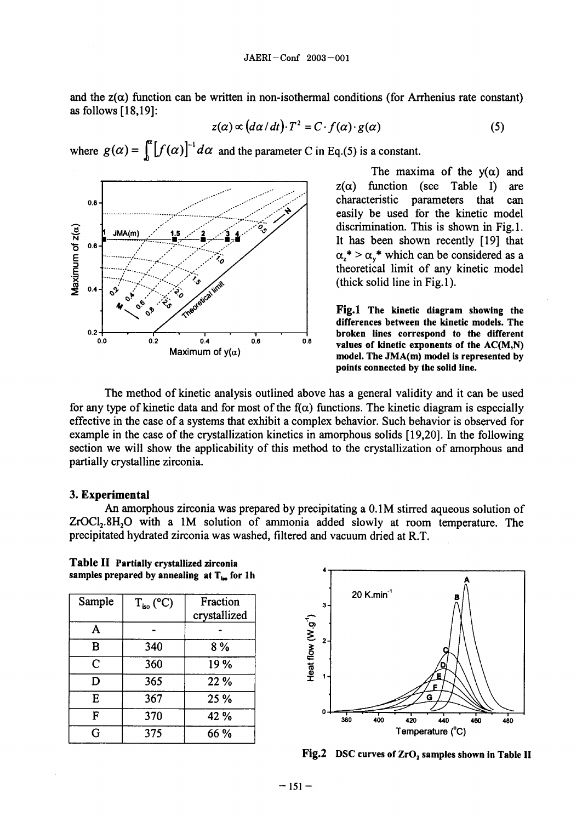and the  $z(\alpha)$  function can be written in non-isothermal conditions (for Arrhenius rate constant) as follows  $[18, 19]$ :

$$
z(\alpha) \propto (d\alpha/dt) \cdot T^2 = C \cdot f(\alpha) \cdot g(\alpha) \tag{5}
$$

where  $g(\alpha) = \int_{0}^{\alpha} [f(\alpha)]^{-1} d\alpha$  and the parameter C in Eq.(5) is a constant.



The maxima of the  $y(\alpha)$  and  $z(\alpha)$  function (see Table I) are easily be used for the kinetic model  $\alpha_z^*$  >  $\alpha_y^*$  which can be considered as a theoretical limit of any kinetic model

**Fig.1** The kinetic diagram showing the 0.4 0.6 0.8 values of kinetic exponents of the AC(M,N)<br>model The IMA(m) model is represented by model. The JMA(m) model is represented by points connected by the solid line.

The method of kinetic analysis outlined above has a general validity and it can be used for any type of kinetic data and for most of the  $f(\alpha)$  functions. The kinetic diagram is especially effective in the case of a systems that exhibit a complex behavior. Such behavior is observed for example in the case of the crystallization kinetics in amorphous solids  $[19,20]$ . In the following section we will show the applicability of this method to the crystallization of amorphous and partially crystalline zirconia.

# **3. Experimental**

An amorphous zirconia was prepared by precipitating a 0.1M stirred aqueous solution of ZrOC1<sub>2</sub>.8H<sub>2</sub>O with a 1M solution of ammonia added slowly at room temperature. The precipitated hydrated zirconia was washed, filtered and vacuum dried at R.T.

| Sample      | $T_{iso}$ (°C) | Fraction<br>crystallized | $3 -$           |     | 20 K.min <sup>-1</sup> |     | в               |
|-------------|----------------|--------------------------|-----------------|-----|------------------------|-----|-----------------|
| А           |                |                          |                 |     |                        |     |                 |
| B           | 340            | 8%                       | $2 -$           |     |                        |     |                 |
| $\mathbf C$ | 360            | 19 %                     | Heat flow (Wg') |     |                        |     |                 |
| D           | 365            | 22 %                     |                 |     |                        |     | F               |
| E           | 367            | 25 %                     |                 |     |                        |     | G               |
| F           | 370            | 42 %                     | ٥               | 380 | 400                    | 420 | 440             |
| G           | 375            | 66 %                     |                 |     |                        |     | Temperature (°C |





Fig.2 DSC curves of ZrO<sub>2</sub> samples shown in Table II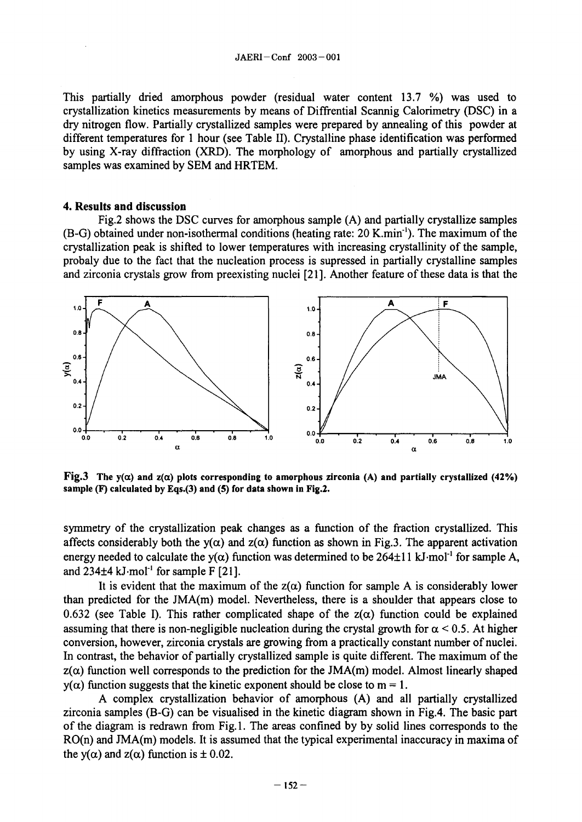This partially dried amorphous powder (residual water content 13.7 %) was used to crystallization kinetics measurements by means of DifIrential Scannig Calorimetry (DSC) in a dry nitrogen flow. Partially crystallized samples were prepared by anealing of this powder at different temperatures for I hour (see Table 1). Crystalline phase identification was performed by using X-ray diffraction (XRD). The morphology of amorphous and partially crystallized samples was examined by SEM and HRTEM.

# **4. Results and discussion**

Fig.2 shows the DSC curves for amorphous sample (A) and partially crystallize samples (B-G) obtained under non-isothernial conditions (heating rate: 20 K.min-'). The maximum of the crystallization peak is shifted to lower temperatures with increasing crystallinity of the sample, probaly due to the fact that the nucleation process is supressed in partially crystalline samples and zirconia crystals grow from preexisting nuclei 21]. Another feature of these data is that the



Fig.3 The  $y(\alpha)$  and  $z(\alpha)$  plots corresponding to amorphous zirconia (A) and partially crystallized (42%) sample (F) calculated by Eqs.(3) and (5) for data shown in Fig.2.

symmetry of the crystallization peak changes as a function of the fraction crystallized. This affects considerably both the  $y(\alpha)$  and  $z(\alpha)$  function as shown in Fig.3. The apparent activation energy needed to calculate the y( $\alpha$ ) function was determined to be 264±11 kJ·mol<sup>-1</sup> for sample A, and  $234\pm4$  kJ·mol<sup>-1</sup> for sample F [21].

It is evident that the maximum of the  $z(\alpha)$  function for sample A is considerably lower than predicted for the JMA(m) model. Nevertheless, there is a shoulder that appears close to 0.632 (see Table I). This rather complicated shape of the  $z(\alpha)$  function could be explained assuming that there is non-negligible nucleation during the crystal growth for  $\alpha$  < 0.5. At higher conversion, however, zirconia crystals are growing from a practically constant number of nuclei. In contrast, the behavior of partially crystallized sample is quite different. The maximum of the  $z(\alpha)$  function well corresponds to the prediction for the JMA(m) model. Almost linearly shaped  $y(\alpha)$  function suggests that the kinetic exponent should be close to m = 1.

A complex crystallization behavior of amorphous (A) and all partially crystallized zirconia samples (B-G) can be visualised in the kinetic diagram shown in Fig.4. The basic part of the diagram is redrawn from Fig. 1. The areas confined by by solid lines corresponds to the  $RO(n)$  and  $IMA(m)$  models. It is assumed that the typical experimental inaccuracy in maxima of the y( $\alpha$ ) and z( $\alpha$ ) function is  $\pm$  0.02.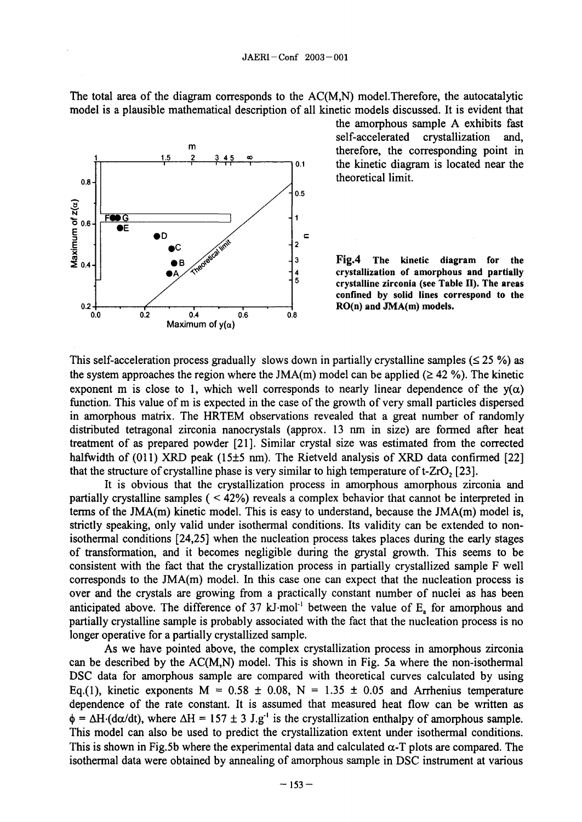The total area of the diagram corresponds to the  $AC(M,N)$  model. Therefore, the autocatalytic model is a plausible mathematical description of all kinetic models discussed. It is evident that



the amorphous sample A exhibits fast self-accelerated crystallization and, m therefore, the corresponding point in 0.1 the kinetic diagram is located near the

> 0.4- -3 **Fig.4** The kinetic diagram for the 4 crystallization of amorphous and partially<br>5 crystalline zirconia (see Table II) The areas crystalline zirconia (see Table II). The areas confined by solid lines correspond to the

This self-acceleration process gradually slows down in partially crystalline samples  $( \leq 25 \%)$  as the system approaches the region where the JMA(m) model can be applied ( $\geq 42$ %). The kinetic exponent m is close to 1, which well corresponds to nearly linear dependence of the  $y(\alpha)$ function. This value of m is expected in the case of the growth of very small particles dispersed in amorphous matrix. The HRTEM observations revealed that a great number of randomly distributed tetragonal zirconia nanocrystals (approx. 13 nm in size) are formed after heat treatment of as prepared powder [21]. Similar crystal size was estimated from the corrected halfwidth of (011) XRD peak (15 $\pm$ 5 nm). The Rietveld analysis of XRD data confirmed [22] that the structure of crystalline phase is very similar to high temperature of t- $ZrO<sub>2</sub>$  [23].

It is obvious that the crystallization process in amorphous amorphous zirconia and partially crystalline samples  $($  < 42%) reveals a complex behavior that cannot be interpreted in terms of the MA(m) kinetic model. This is easy to understand, because the JMA(m) model is, strictly speaking, only valid under isothermal conditions. Its validity can be extended to nonisothermal conditions [24,25] when the nucleation process takes places during the early stages of transformation, and it becomes negligible during the grystal growth. This seems to be consistent with the fact that the crystallization process in partially crystallized sample F well corresponds to the JMA(m) model. In this case one can expect that the nucleation process is over and the crystals are growing from a practically constant number of nuclei as has been anticipated above. The difference of 37  $kJ \cdot mol^{-1}$  between the value of E, for amorphous and partially crystalline sample is probably associated with the fact that the nucleation process is no longer operative for a partially crystallized sample.

As we have pointed above, the complex crystallization process in amorphous zirconia can be described by the  $AC(M,N)$  model. This is shown in Fig. 5a where the non-isothermal DSC data for amorphous sample are compared with theoretical curves calculated by using Eq.(1), kinetic exponents  $M = 0.58 \pm 0.08$ ,  $N = 1.35 \pm 0.05$  and Arrhenius temperature dependence of the rate constant. It is assumed that measured heat flow can be written as  $\phi = \Delta H \cdot (d\alpha/dt)$ , where  $\Delta H = 157 \pm 3$  J.g<sup>-1</sup> is the crystallization enthalpy of amorphous sample. This model can also be used to predict the crystallization extent under isothermal conditions. This is shown in Fig.5b where the experimental data and calculated  $\alpha$ -T plots are compared. The isothermal data were obtained by annealing of amorphous sample in DSC instrument at various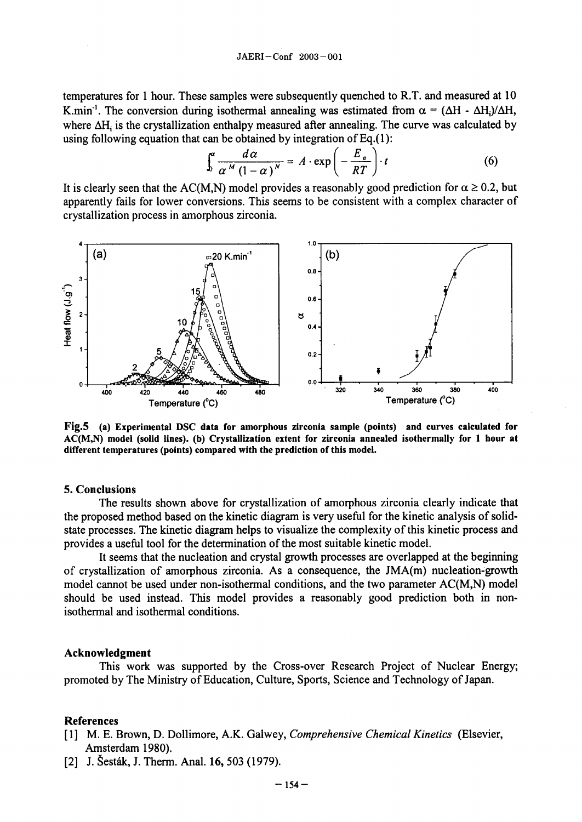temperatures for 1 hour. These samples were subsequently quenched to R.T. and measured at 10 K.min<sup>-1</sup>. The conversion during isothermal annealing was estimated from  $\alpha = (\Delta H - \Delta H_i)/\Delta H$ , where  $\Delta H_i$  is the crystallization enthalpy measured after annealing. The curve was calculated by using following equation that can be obtained by integration of Eq.(l):

$$
\int_{0}^{\alpha} \frac{d\alpha}{\alpha^{M} (1-\alpha)^{N}} = A \cdot \exp\left(-\frac{E_a}{RT}\right) \cdot t
$$
 (6)

It is clearly seen that the AC(M,N) model provides a reasonably good prediction for  $\alpha \ge 0.2$ , but apparently fails for lower conversions. This seems to be consistent with a complex character of crystallization process in amorphous zirconia.



**Fig.5** (a) Experimental DSC data for amorphous zirconia sample (points) and curves calculated for AC(M,N) model (solid lines). (b) Crystallization extent for zirconia annealed isothermally for 1 hour at different temperatures (points) compared with the prediction of this model.

## **5. Conclusions**

The results shown above for crystallization of amorphous zirconia clearly indicate that the proposed method based on the kinetic diagram is very useful for the kinetic analysis of solidstate processes. The kinetic diagram helps to visualize the complexity of this kinetic process and provides a useful tool for the determination of the most suitable kinetic model.

It seems that the nucleation and crystal growth processes are overlapped at the beginning of crystallization of amorphous zirconia. As a consequence, the JMA(m) nucleation-growth model cannot be used under non-isothermal conditions, and the two parameter  $AC(M,N)$  model should be used instead. This model provides a reasonably good prediction both in nonisothermal and isothermal conditions.

#### **Acknowledgment**

This work was supported by the Cross-over Research Project of Nuclear Energy; promoted by The Ministry of Education, Culture, Sports, Science and Technology of Japan.

#### **References**

- **[I]** M. E. Brown, D. Dollimore, A.K. Galwey, *Comprehensive Chemical Kinetics* (Elsevier, Amsterdam 1980).
- [2] J. Šesták, J. Therm. Anal. **16, 503** (1979).